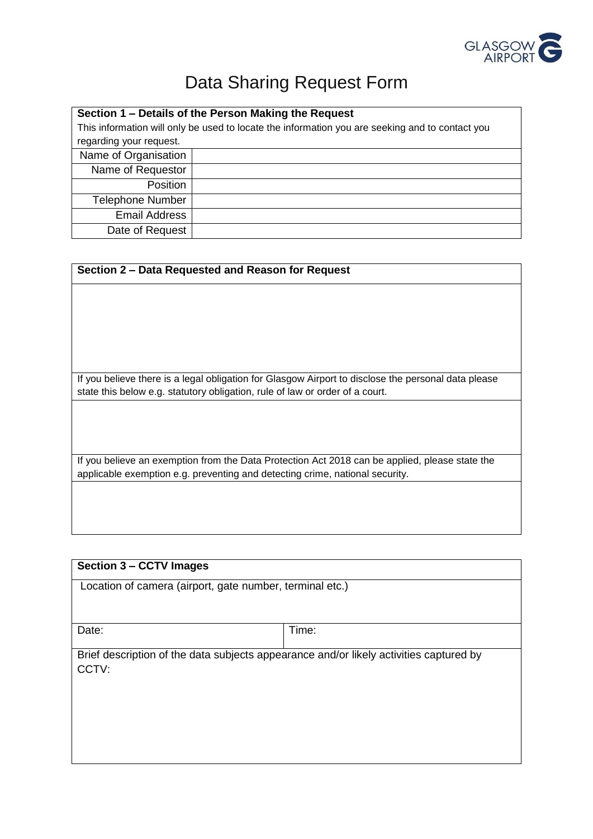

# Data Sharing Request Form

| Section 1 – Details of the Person Making the Request                                            |  |  |
|-------------------------------------------------------------------------------------------------|--|--|
| This information will only be used to locate the information you are seeking and to contact you |  |  |
| regarding your request.                                                                         |  |  |
| Name of Organisation                                                                            |  |  |
| Name of Requestor                                                                               |  |  |
| <b>Position</b>                                                                                 |  |  |
| <b>Telephone Number</b>                                                                         |  |  |
| <b>Email Address</b>                                                                            |  |  |
| Date of Request                                                                                 |  |  |

#### **Section 2 – Data Requested and Reason for Request**

If you believe there is a legal obligation for Glasgow Airport to disclose the personal data please state this below e.g. statutory obligation, rule of law or order of a court.

If you believe an exemption from the Data Protection Act 2018 can be applied, please state the applicable exemption e.g. preventing and detecting crime, national security.

| <b>Section 3 - CCTV Images</b><br>Location of camera (airport, gate number, terminal etc.)      |       |  |
|-------------------------------------------------------------------------------------------------|-------|--|
|                                                                                                 |       |  |
| Date:                                                                                           | Time: |  |
| Brief description of the data subjects appearance and/or likely activities captured by<br>CCTV: |       |  |
|                                                                                                 |       |  |
|                                                                                                 |       |  |
|                                                                                                 |       |  |
|                                                                                                 |       |  |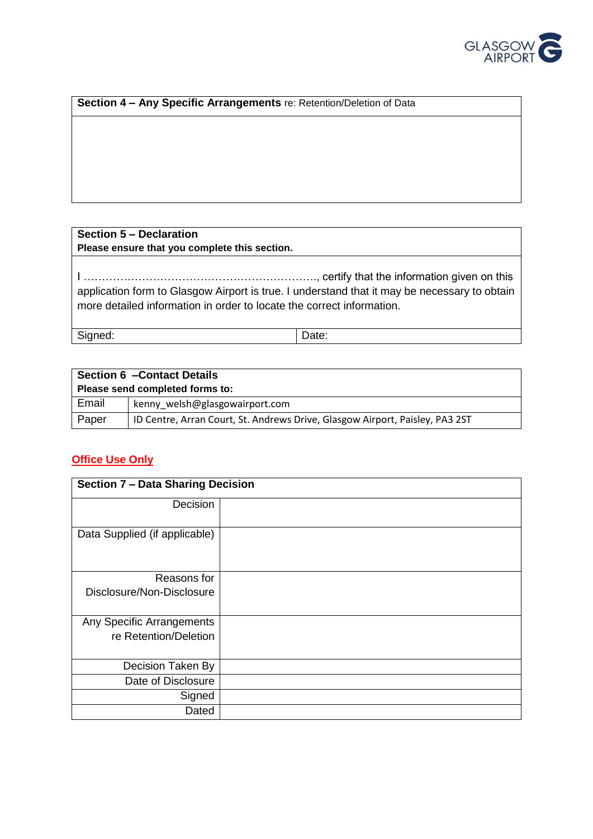

**Section 4 – Any Specific Arrangements** re: Retention/Deletion of Data

## **Section 5 – Declaration**

**Please ensure that you complete this section.**

I ………………………………………………………., certify that the information given on this application form to Glasgow Airport is true. I understand that it may be necessary to obtain more detailed information in order to locate the correct information.

Signed: **Date: Date:** 

| Section 6 - Contact Details     |                                                                              |  |
|---------------------------------|------------------------------------------------------------------------------|--|
| Please send completed forms to: |                                                                              |  |
| Email                           | kenny welsh@glasgowairport.com                                               |  |
| Paper                           | ID Centre, Arran Court, St. Andrews Drive, Glasgow Airport, Paisley, PA3 2ST |  |

#### **Office Use Only**

| Section 7 - Data Sharing Decision |  |  |
|-----------------------------------|--|--|
| Decision                          |  |  |
| Data Supplied (if applicable)     |  |  |
| Reasons for                       |  |  |
| Disclosure/Non-Disclosure         |  |  |
| Any Specific Arrangements         |  |  |
| re Retention/Deletion             |  |  |
| Decision Taken By                 |  |  |
| Date of Disclosure                |  |  |
| Signed                            |  |  |
| Dated                             |  |  |